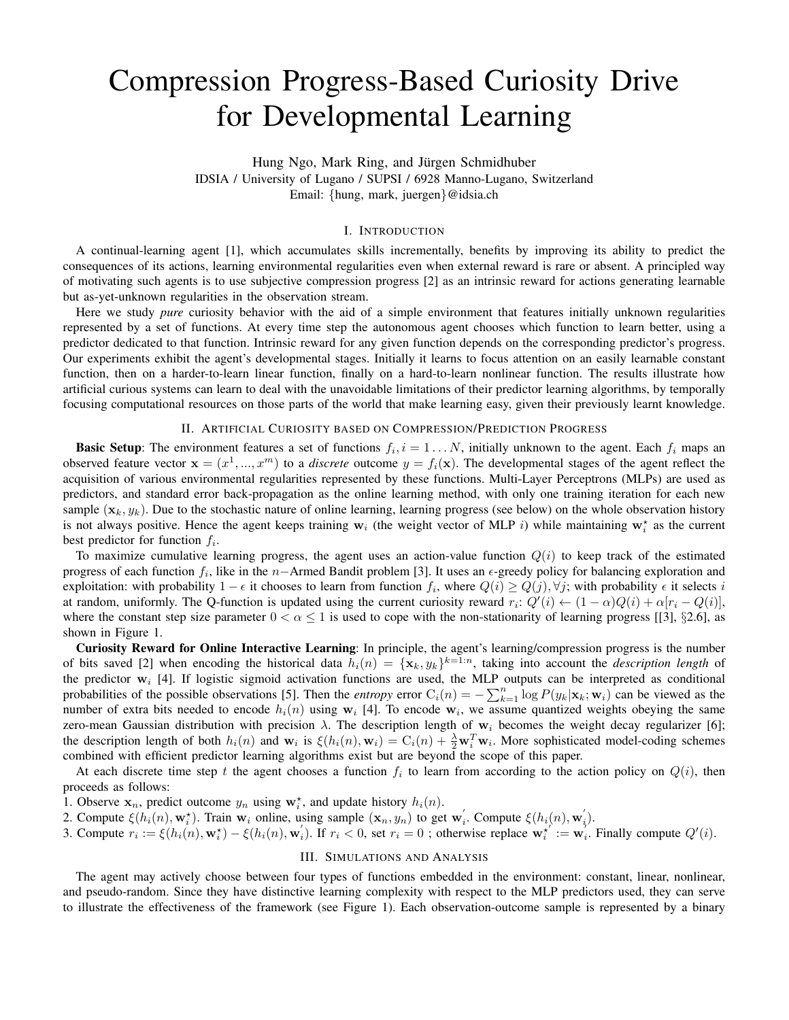# Compression Progress-Based Curiosity Drive for Developmental Learning

Hung Ngo, Mark Ring, and Jürgen Schmidhuber IDSIA / University of Lugano / SUPSI / 6928 Manno-Lugano, Switzerland Email: {hung, mark, juergen}@idsia.ch

## I. INTRODUCTION

A continual-learning agent [1], which accumulates skills incrementally, benefits by improving its ability to predict the consequences of its actions, learning environmental regularities even when external reward is rare or absent. A principled way of motivating such agents is to use subjective compression progress [2] as an intrinsic reward for actions generating learnable but as-yet-unknown regularities in the observation stream.

Here we study *pure* curiosity behavior with the aid of a simple environment that features initially unknown regularities represented by a set of functions. At every time step the autonomous agent chooses which function to learn better, using a predictor dedicated to that function. Intrinsic reward for any given function depends on the corresponding predictor's progress. Our experiments exhibit the agent's developmental stages. Initially it learns to focus attention on an easily learnable constant function, then on a harder-to-learn linear function, finally on a hard-to-learn nonlinear function. The results illustrate how artificial curious systems can learn to deal with the unavoidable limitations of their predictor learning algorithms, by temporally focusing computational resources on those parts of the world that make learning easy, given their previously learnt knowledge.

## II. ARTIFICIAL CURIOSITY BASED ON COMPRESSION/PREDICTION PROGRESS

**Basic Setup**: The environment features a set of functions  $f_i$ ,  $i = 1...N$ , initially unknown to the agent. Each  $f_i$  maps an observed feature vector  $\mathbf{x} = (x^1, ..., x^m)$  to a *discrete* outcome  $y = f_i(\mathbf{x})$ . The developmental stages of the agent reflect the acquisition of various environmental regularities represented by these functions. Multi-Layer Perceptrons (MLPs) are used as predictors, and standard error back-propagation as the online learning method, with only one training iteration for each new sample  $(\mathbf{x}_k, y_k)$ . Due to the stochastic nature of online learning, learning progress (see below) on the whole observation history is not always positive. Hence the agent keeps training  $w_i$  (the weight vector of MLP i) while maintaining  $w_i^*$  as the current best predictor for function  $f_i$ .

To maximize cumulative learning progress, the agent uses an action-value function  $Q(i)$  to keep track of the estimated progress of each function  $f_i$ , like in the n–Armed Bandit problem [3]. It uses an  $\epsilon$ -greedy policy for balancing exploration and exploitation: with probability  $1 - \epsilon$  it chooses to learn from function  $f_i$ , where  $Q(i) \ge Q(j)$ ,  $\forall j$ ; with probability  $\epsilon$  it selects i at random, uniformly. The Q-function is updated using the current curiosity reward  $r_i$ :  $Q'(i) \leftarrow (1-\alpha)Q(i) + \alpha[r_i - Q(i)]$ , where the constant step size parameter  $0 < \alpha \le 1$  is used to cope with the non-stationarity of learning progress [[3], §2.6], as shown in Figure 1.

Curiosity Reward for Online Interactive Learning: In principle, the agent's learning/compression progress is the number of bits saved [2] when encoding the historical data  $h_i(n) = {\mathbf{x}_k, y_k\}^{k=1:n}$ , taking into account the *description length* of the predictor  $w_i$  [4]. If logistic sigmoid activation functions are used, the MLP outputs can be interpreted as conditional probabilities of the possible observations [5]. Then the *entropy* error  $C_i(n) = -\sum_{k=1}^n \log P(y_k|\mathbf{x}_k; \mathbf{w}_i)$  can be viewed as the number of extra bits needed to encode  $h_i(n)$  using  $w_i$  [4]. To encode  $w_i$ , we assume quantized weights obeying the same zero-mean Gaussian distribution with precision  $\lambda$ . The description length of w<sub>i</sub> becomes the weight decay regularizer [6]; the description length of both  $h_i(n)$  and  $\mathbf{w}_i$  is  $\xi(h_i(n), \mathbf{w}_i) = C_i(n) + \frac{\lambda}{2} \mathbf{w}_i^T \mathbf{w}_i$ . More sophisticated model-coding schemes combined with efficient predictor learning algorithms exist but are beyond the scope of this paper.

At each discrete time step t the agent chooses a function  $f_i$  to learn from according to the action policy on  $Q(i)$ , then proceeds as follows:

1. Observe  $x_n$ , predict outcome  $y_n$  using  $w_i^*$ , and update history  $h_i(n)$ .

2. Compute  $\xi(h_i(n), \mathbf{w}_i^*)$ . Train  $\mathbf{w}_i$  online, using sample  $(\mathbf{x}_n, y_n)$  to get  $\mathbf{w}_i'$ . Compute  $\xi(h_i(n), \mathbf{w}_i')$ .

3. Compute  $r_i := \xi(h_i(n), \mathbf{w}_i^*) - \xi(h_i(n), \mathbf{w}_i)$ . If  $r_i < 0$ , set  $r_i = 0$ ; otherwise replace  $\mathbf{w}_i^{*'} := \mathbf{w}_i^{\prime}$ . Finally compute  $Q'(i)$ .

# III. SIMULATIONS AND ANALYSIS

The agent may actively choose between four types of functions embedded in the environment: constant, linear, nonlinear, and pseudo-random. Since they have distinctive learning complexity with respect to the MLP predictors used, they can serve to illustrate the effectiveness of the framework (see Figure 1). Each observation-outcome sample is represented by a binary